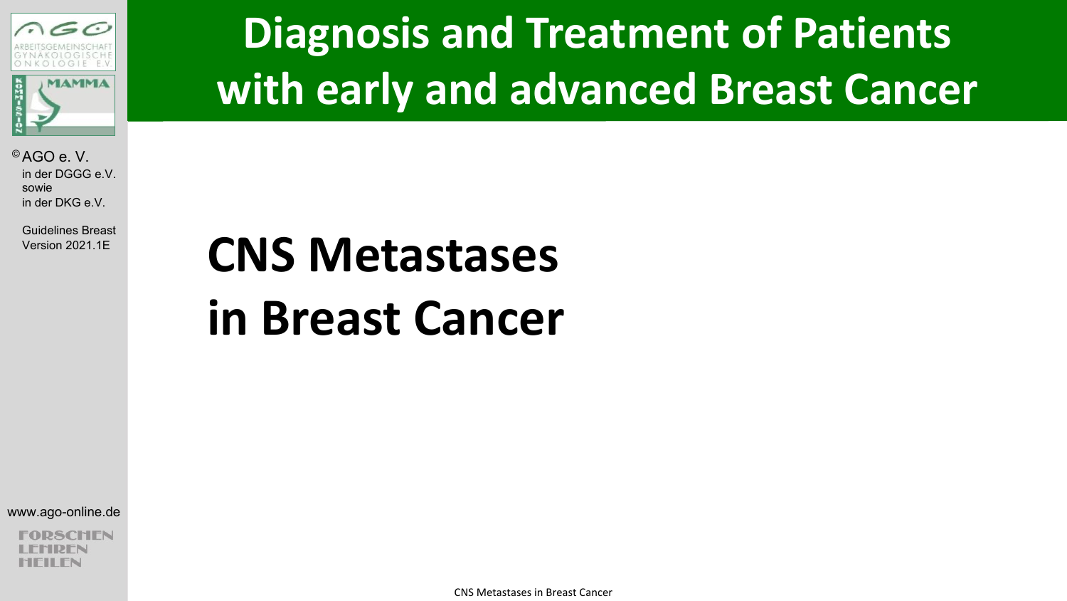

Guidelines Breast Version 2021.1E

# **Diagnosis and Treatment of Patients with early and advanced Breast Cancer**

# **CNS Metastases in Breast Cancer**

www.ago-online.de

CHEN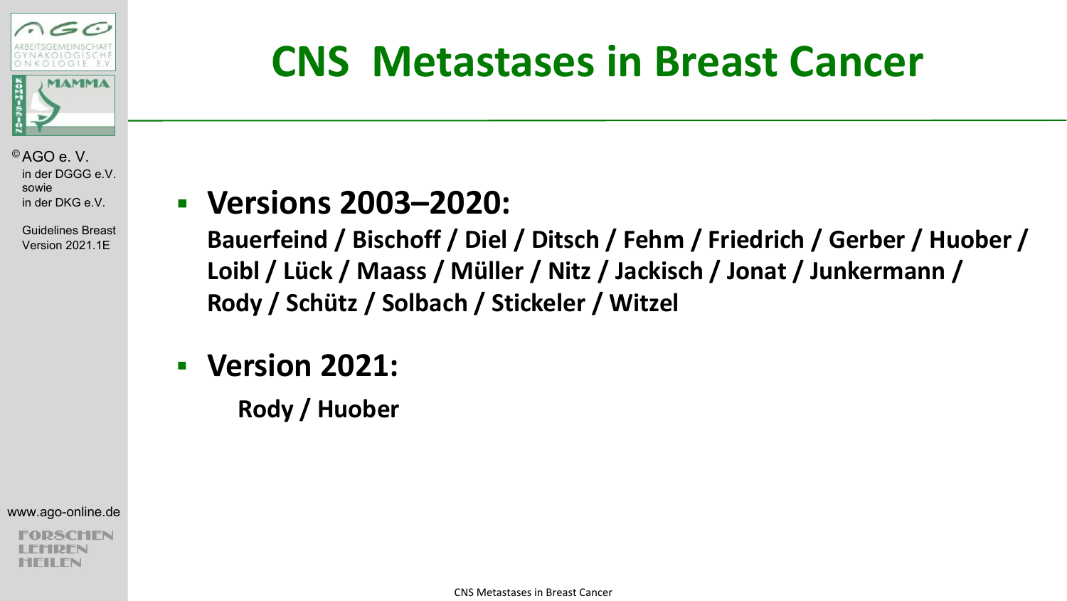

**CNS Metastases in Breast Cancer**

© AGO e. V. in der DGGG e.V. sowie in der DKG e.V.

> Guidelines Breast Version 2021.1E

### § **Versions 2003–2020:**

**Bauerfeind / Bischoff / Diel / Ditsch / Fehm / Friedrich / Gerber / Huober / Loibl / Lück / Maass / Müller / Nitz / Jackisch / Jonat / Junkermann / Rody / Schütz / Solbach / Stickeler / Witzel** 

§ **Version 2021:**

**Rody / Huober**

www.ago-online.de

CHEN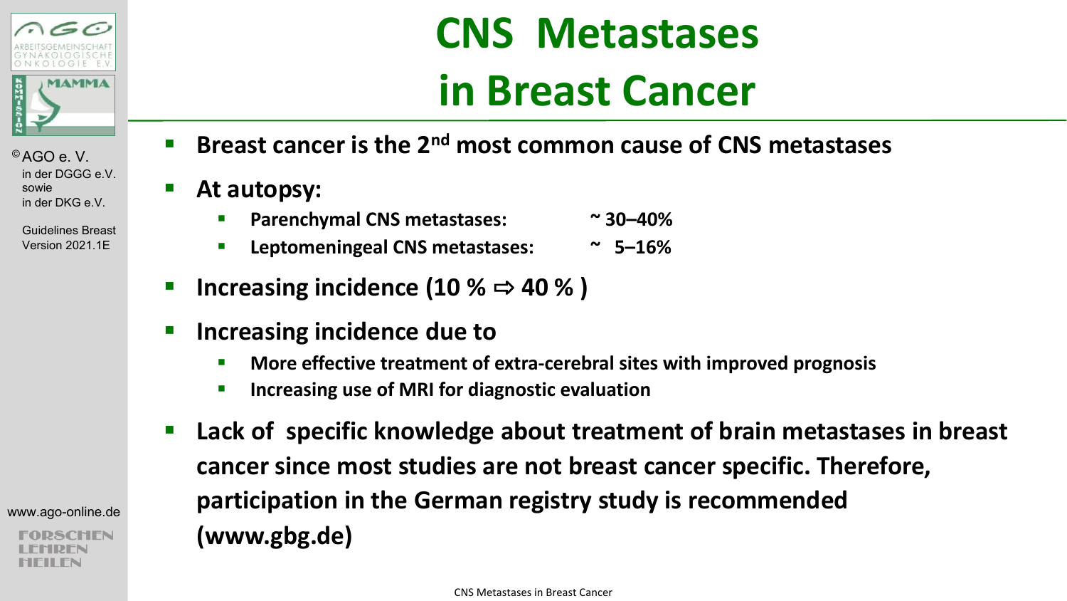

Guidelines Breast Version 2021.1E

www.ago-online.de

- § **Breast cancer is the 2nd most common cause of CNS metastases**
- At autopsy:
	- § **Parenchymal CNS metastases: ~ 30–40%**
	- § **Leptomeningeal CNS metastases: ~ 5–16%**
- **Increasing incidence (10 %**  $\Rightarrow$  **40 %)**
- § **Increasing incidence due to** 
	- § **More effective treatment of extra-cerebral sites with improved prognosis**
	- **EXECUTE:** Increasing use of MRI for diagnostic evaluation
- Lack of specific knowledge about treatment of brain metastases in breast **cancer since most studies are not breast cancer specific. Therefore, participation in the German registry study is recommended (www.gbg.de)**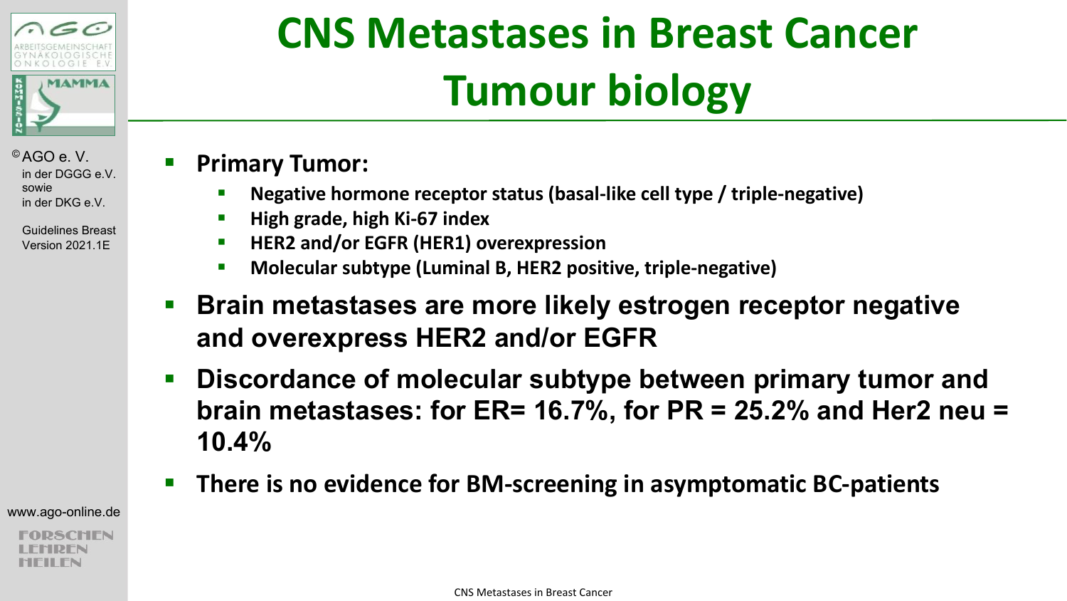

> Guidelines Breast Version 2021.1E

# **CNS Metastases in Breast Cancer Tumour biology**

### § **Primary Tumor:**

- § **Negative hormone receptor status (basal-like cell type / triple-negative)**
- § **High grade, high Ki-67 index**
- § **HER2 and/or EGFR (HER1) overexpression**
- § **Molecular subtype (Luminal B, HER2 positive, triple-negative)**
- Brain metastases are more likely estrogen receptor negative **and overexpress HER2 and/or EGFR**
- § **Discordance of molecular subtype between primary tumor and brain metastases: for ER= 16.7%, for PR = 25.2% and Her2 neu = 10.4%**
- There is no evidence for BM-screening in asymptomatic BC-patients

www.ago-online.de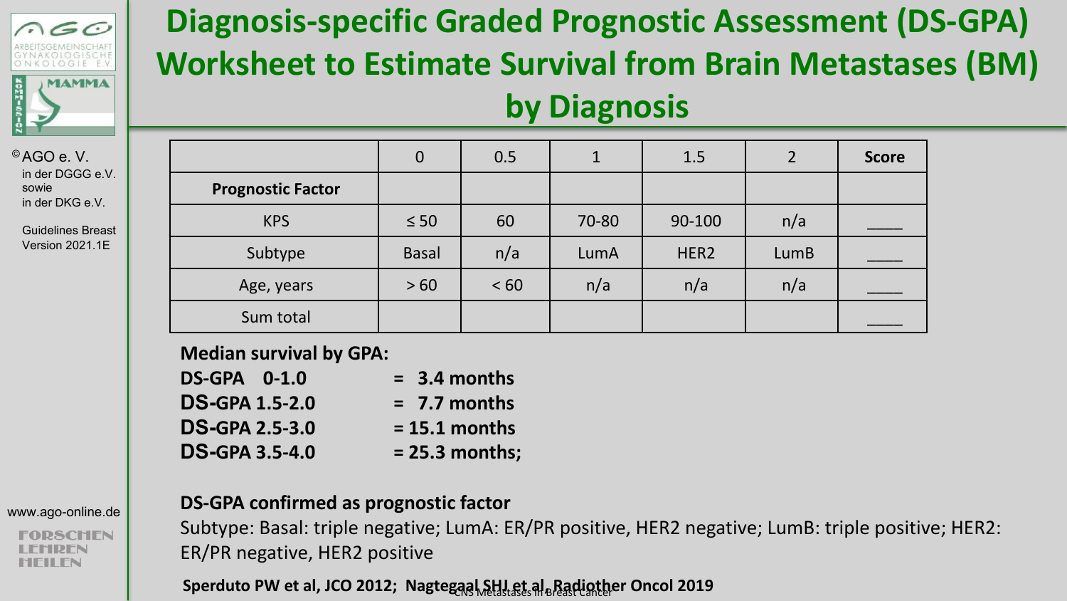

Guidelines Breast Version 2021.1E

### www.ago-online.de

**SCHEN** MFILFN

**Diagnosis-specific Graded Prognostic Assessment (DS-GPA) Worksheet to Estimate Survival from Brain Metastases (BM) by Diagnosis**

|                          | 0            | 0.5  |       | 1.5              |      | <b>Score</b> |
|--------------------------|--------------|------|-------|------------------|------|--------------|
| <b>Prognostic Factor</b> |              |      |       |                  |      |              |
| <b>KPS</b>               | $\leq 50$    | 60   | 70-80 | 90-100           | n/a  |              |
| Subtype                  | <b>Basal</b> | n/a  | LumA  | HER <sub>2</sub> | LumB |              |
| Age, years               | >60          | < 60 | n/a   | n/a              | n/a  |              |
| Sum total                |              |      |       |                  |      |              |

**Median survival by GPA:** 

| <b>DS-GPA 0-1.0</b>   | $= 3.4$ months   |
|-----------------------|------------------|
| <b>DS-GPA 1.5-2.0</b> | $= 7.7$ months   |
| <b>DS-GPA 2.5-3.0</b> | $= 15.1$ months  |
| <b>DS-GPA 3.5-4.0</b> | $= 25.3$ months; |

### **DS-GPA confirmed as prognostic factor**

Subtype: Basal: triple negative; LumA: ER/PR positive, HER2 negative; LumB: triple positive; HER2: ER/PR negative, HER2 positive

Sperduto PW et al, JCO 2012; Nagtegaal SHJ et al<sub> B</sub>Radiother Oncol 2019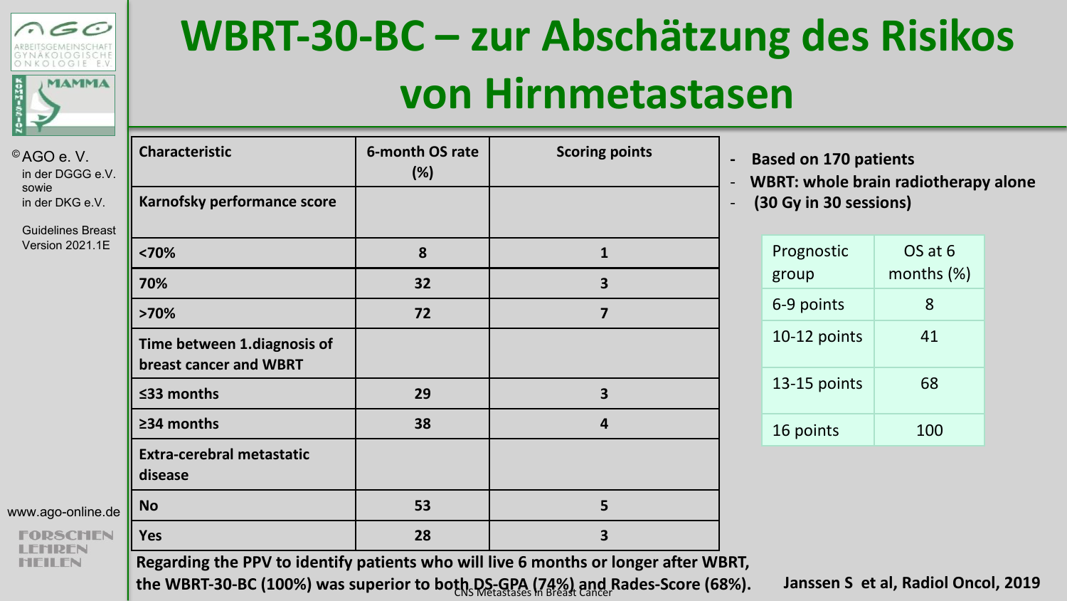

© AGO e. V.

# **WBRT-30-BC – zur Abschätzung des Risikos von Hirnmetastasen**

| 'AGO e.V.<br>in der DGGG e.V.     | Characteristic                                        | 6-month OS rate<br>(%) | <b>Scoring points</b>   | $\mathbf{B}$<br>W |
|-----------------------------------|-------------------------------------------------------|------------------------|-------------------------|-------------------|
| sowie<br>in der DKG e.V.          | Karnofsky performance score                           |                        |                         | $\mathfrak{c}$    |
| <b>Guidelines Breast</b>          |                                                       |                        |                         |                   |
| Version 2021.1E                   | $70%$                                                 | 8                      | $\mathbf{1}$            |                   |
|                                   | 70%                                                   | 32                     | 3                       |                   |
|                                   | >70%                                                  | 72                     | $\overline{\mathbf{z}}$ |                   |
|                                   | Time between 1.diagnosis of<br>breast cancer and WBRT |                        |                         |                   |
|                                   | ≤33 months                                            | 29                     | 3                       |                   |
|                                   | ≥34 months                                            | 38                     | $\overline{a}$          |                   |
|                                   | <b>Extra-cerebral metastatic</b><br>disease           |                        |                         |                   |
| ww.ago-online.de                  | <b>No</b>                                             | 53                     | 5                       |                   |
| <b>FORSCHEN</b><br><b>I FMDFN</b> | Yes                                                   | 28                     | 3                       |                   |

**- Based on 170 patients** 

**BRT: whole brain radiotherapy alone** 

- **(30 Gy in 30 sessions)**

| Prognostic<br>group | OS at 6<br>months (%) |
|---------------------|-----------------------|
| 6-9 points          | ጸ                     |
| 10-12 points        | 41                    |
| 13-15 points        | 68                    |
| 16 points           | 100                   |

www.ago-onlin

FODSCL **MEILEN** 

**Regarding the PPV to identify patients who will live 6 months or longer after WBRT,**  the WBRT-30-BC (100%) was superior to both DS-GPA (74%) and Rades-Score (68%). Janssen S et al, Radiol Oncol, 2019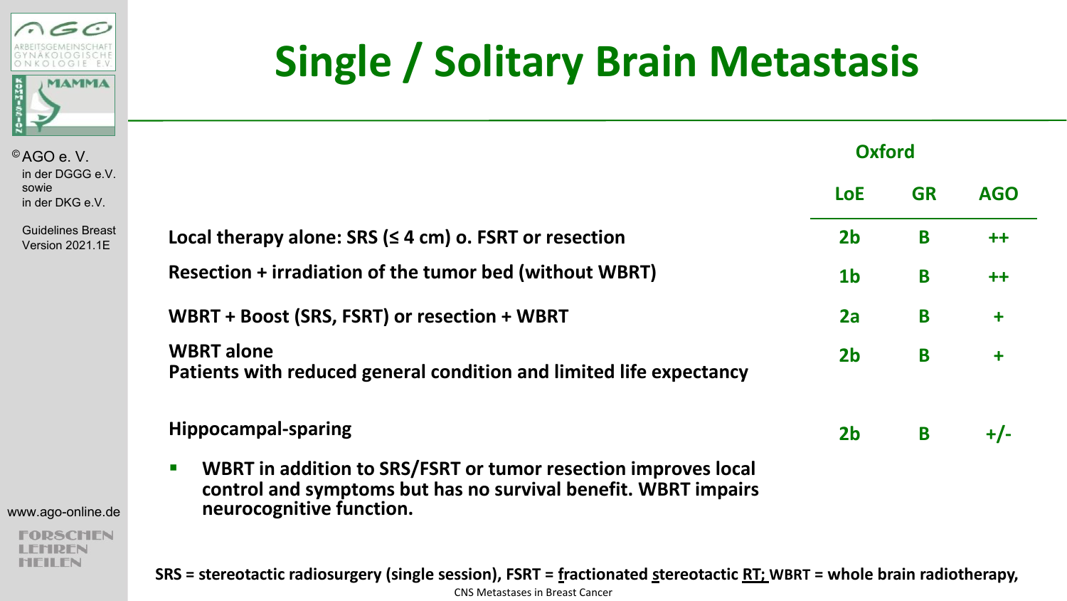

Guidelines Breast Version 2021.1E

|                                                                                                                                                                                | <b>LoE</b>     | <b>GR</b> | AG <sub>C</sub> |
|--------------------------------------------------------------------------------------------------------------------------------------------------------------------------------|----------------|-----------|-----------------|
| Local therapy alone: SRS $(≤ 4 cm)$ o. FSRT or resection                                                                                                                       | 2 <sub>b</sub> | B         | $++$            |
| Resection + irradiation of the tumor bed (without WBRT)                                                                                                                        | 1 <sub>b</sub> | B         | $++$            |
| WBRT + Boost (SRS, FSRT) or resection + WBRT                                                                                                                                   | 2a             | B         | $\ddot{}$       |
| <b>WBRT</b> alone<br>Patients with reduced general condition and limited life expectancy                                                                                       | 2 <sub>b</sub> | B         | $\ddot{}$       |
| <b>Hippocampal-sparing</b>                                                                                                                                                     | 2 <sub>b</sub> | B         | +/-             |
| WBRT in addition to SRS/FSRT or tumor resection improves local<br>$\blacksquare$<br>control and symptoms but has no survival benefit. WBRT impairs<br>neurocognitive function. |                |           |                 |

**Single / Solitary Brain Metastasis**

**Oxford**

**LoE GR AGO**

www.ago-online.de

**FORSCHEN** LEMREN **HEILEN** 

**SRS = stereotactic radiosurgery (single session), FSRT = fractionated stereotactic RT; WBRT = whole brain radiotherapy,**  CNS Metastases in Breast Cancer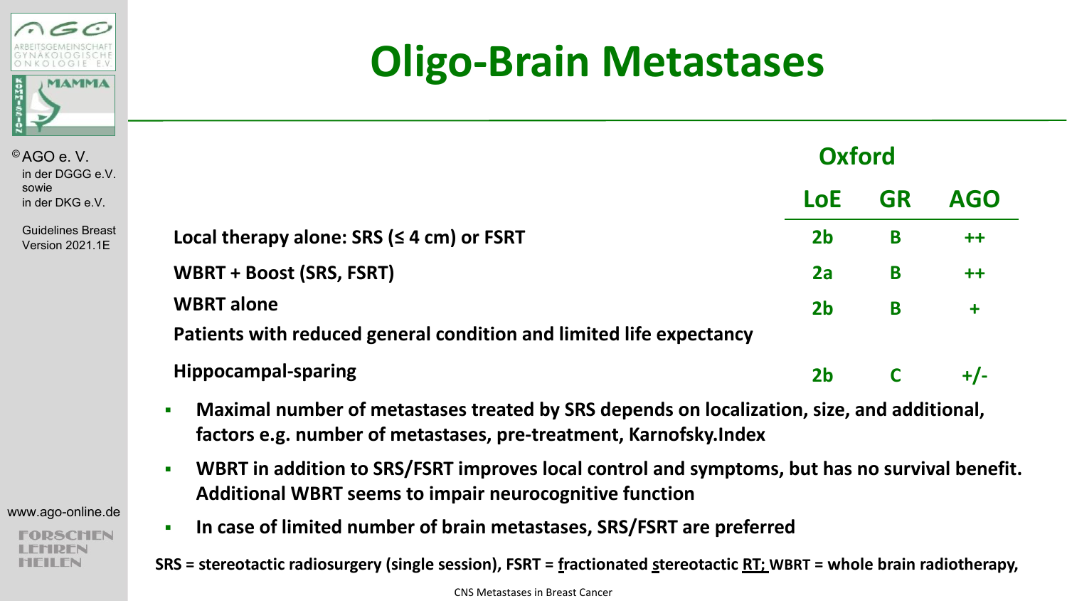

Guidelines B Version 2021

| www.ago-online.de |  |
|-------------------|--|
|                   |  |

## **Oligo-Brain Metastases**

| e.V.         |                                                                                          | <b>Oxford</b>  |           |            |
|--------------|------------------------------------------------------------------------------------------|----------------|-----------|------------|
| .V.          |                                                                                          | LoE            | <b>GR</b> | <b>AGO</b> |
| reast<br>.1E | Local therapy alone: SRS ( $\leq$ 4 cm) or FSRT                                          | 2 <sub>b</sub> | B         | $++$       |
|              | <b>WBRT + Boost (SRS, FSRT)</b>                                                          | 2a             | B         | $++$       |
|              | <b>WBRT</b> alone<br>Patients with reduced general condition and limited life expectancy | 2 <sub>b</sub> | B         | $\ddot{}$  |
|              | <b>Hippocampal-sparing</b>                                                               | 2 <sub>b</sub> |           | $+/-$      |

- § **Maximal number of metastases treated by SRS depends on localization, size, and additional, factors e.g. number of metastases, pre-treatment, Karnofsky.Index**
- § **WBRT in addition to SRS/FSRT improves local control and symptoms, but has no survival benefit. Additional WBRT seems to impair neurocognitive function**
- § **In case of limited number of brain metastases, SRS/FSRT are preferred**

**SRS = stereotactic radiosurgery (single session), FSRT = fractionated stereotactic RT; WBRT = whole brain radiotherapy,**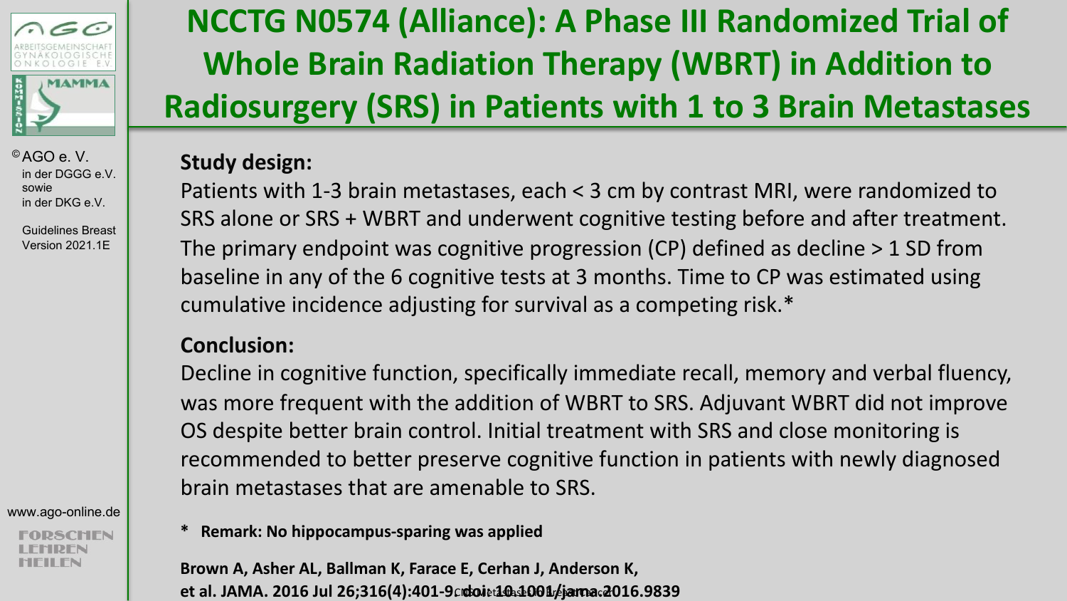

Guidelines Breast Version 2021.1E

www.ago-online.de

SCHEN

### **NCCTG N0574 (Alliance): A Phase III Randomized Trial of Whole Brain Radiation Therapy (WBRT) in Addition to Radiosurgery (SRS) in Patients with 1 to 3 Brain Metastases**

### **Study design:**

Patients with 1-3 brain metastases, each < 3 cm by contrast MRI, were randomized to SRS alone or SRS + WBRT and underwent cognitive testing before and after treatment. The primary endpoint was cognitive progression (CP) defined as decline > 1 SD from baseline in any of the 6 cognitive tests at 3 months. Time to CP was estimated using cumulative incidence adjusting for survival as a competing risk.\*

### **Conclusion:**

Decline in cognitive function, specifically immediate recall, memory and verbal fluency, was more frequent with the addition of WBRT to SRS. Adjuvant WBRT did not improve OS despite better brain control. Initial treatment with SRS and close monitoring is recommended to better preserve cognitive function in patients with newly diagnosed brain metastases that are amenable to SRS.

**\* Remark: No hippocampus-sparing was applied**

**Brown A, Asher AL, Ballman K, Farace E, Cerhan J, Anderson K,**  et al. JAMA. 2016 Jul 26;316(4):401–9 $\alpha$ doiet1<del>0.</del>1001/jama.2016.9839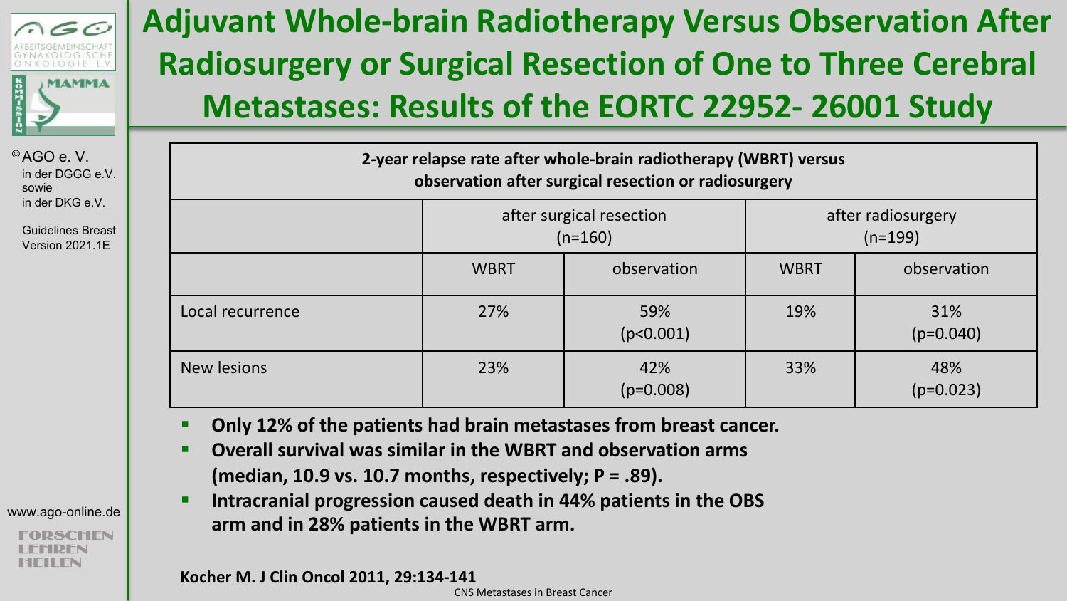

Guidelines Breast Version 2021.1E

| www.ago-online.de |  |
|-------------------|--|
|-------------------|--|

### **Adjuvant Whole-brain Radiotherapy Versus Observation After Radiosurgery or Surgical Resection of One to Three Cerebral Metastases: Results of the EORTC 22952- 26001 Study**

| 2-year relapse rate after whole-brain radiotherapy (WBRT) versus<br>observation after surgical resection or radiosurgery |                                       |                    |                                 |                    |  |  |
|--------------------------------------------------------------------------------------------------------------------------|---------------------------------------|--------------------|---------------------------------|--------------------|--|--|
|                                                                                                                          | after surgical resection<br>$(n=160)$ |                    | after radiosurgery<br>$(n=199)$ |                    |  |  |
|                                                                                                                          | <b>WBRT</b>                           | observation        | <b>WBRT</b>                     | observation        |  |  |
| Local recurrence                                                                                                         | 27%                                   | 59%<br>(p<0.001)   | 19%                             | 31%<br>$(p=0.040)$ |  |  |
| New lesions                                                                                                              | 23%                                   | 42%<br>$(p=0.008)$ | 33%                             | 48%<br>$(p=0.023)$ |  |  |

- § **Only 12% of the patients had brain metastases from breast cancer.**
- § **Overall survival was similar in the WBRT and observation arms (median, 10.9 vs. 10.7 months, respectively; P = .89).**
- § **Intracranial progression caused death in 44% patients in the OBS arm and in 28% patients in the WBRT arm.**

**Kocher M. J Clin Oncol 2011, 29:134-141**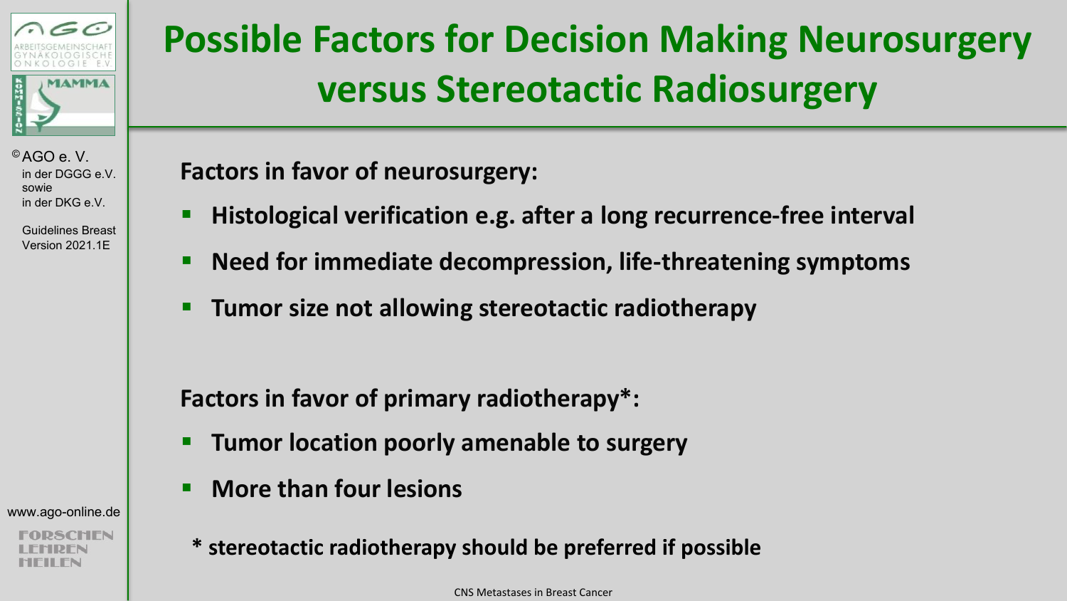

> Guidelines Breast Version 2021.1E

#### www.ago-online.de

## **Possible Factors for Decision Making Neurosurgery versus Stereotactic Radiosurgery**

**Factors in favor of neurosurgery:**

- § **Histological verification e.g. after a long recurrence-free interval**
- § **Need for immediate decompression, life-threatening symptoms**
- § **Tumor size not allowing stereotactic radiotherapy**

**Factors in favor of primary radiotherapy\*:**

- § **Tumor location poorly amenable to surgery**
- § **More than four lesions**
- **\* stereotactic radiotherapy should be preferred if possible**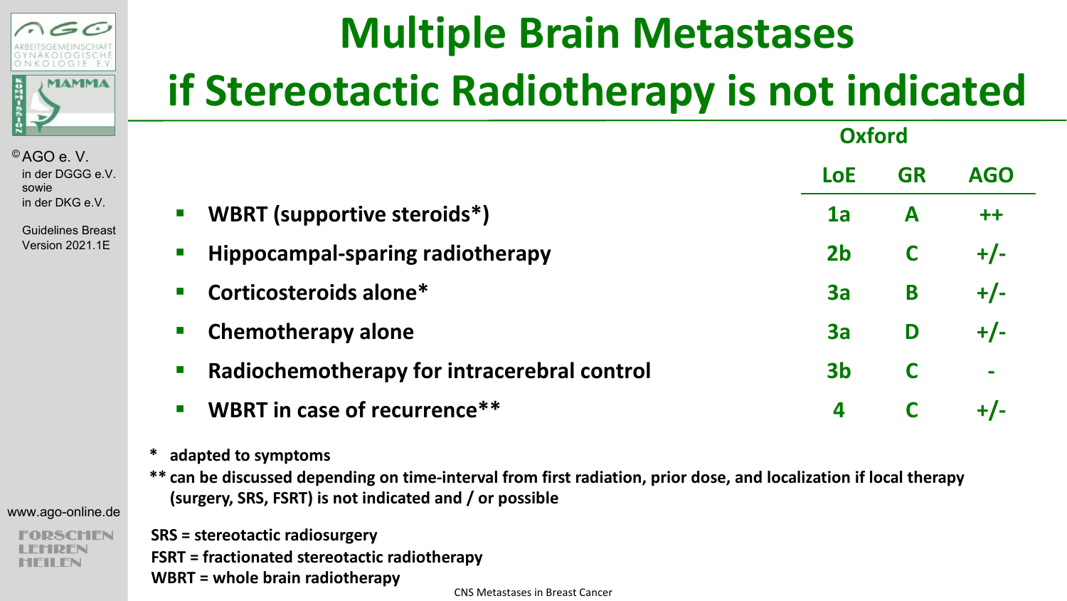

Guidelines Breast Version 2021.1E

# **Multiple Brain Metastases if Stereotactic Radiotherapy is not indicated**

|                                                                            | <b>Oxford</b>  |           |                |
|----------------------------------------------------------------------------|----------------|-----------|----------------|
|                                                                            | <b>LoE</b>     | <b>GR</b> | <b>AGO</b>     |
| WBRT (supportive steroids*)<br>$\blacksquare$                              | 1a             | A         | $++$           |
| <b>Hippocampal-sparing radiotherapy</b><br>$\mathcal{L}_{\mathcal{A}}$     | 2 <sub>b</sub> | C         | $+/-$          |
| Corticosteroids alone*<br>$\mathcal{L}_{\mathcal{A}}$                      | 3a             | B         | $+/-$          |
| <b>Chemotherapy alone</b><br>$\mathcal{L}_{\mathcal{A}}$                   | 3a             | D         | $+/-$          |
| Radiochemotherapy for intracerebral control<br>$\mathcal{L}_{\mathcal{A}}$ | 3b             |           | $\blacksquare$ |
| WBRT in case of recurrence**<br>$\mathcal{L}_{\mathcal{A}}$                | 4              |           |                |
|                                                                            |                |           |                |

- **\* adapted to symptoms**
- **\*\* can be discussed depending on time-interval from first radiation, prior dose, and localization if local therapy (surgery, SRS, FSRT) is not indicated and / or possible**

www.ago-online.de

**2SCHEN** 

**SRS = stereotactic radiosurgery FSRT = fractionated stereotactic radiotherapy WBRT = whole brain radiotherapy**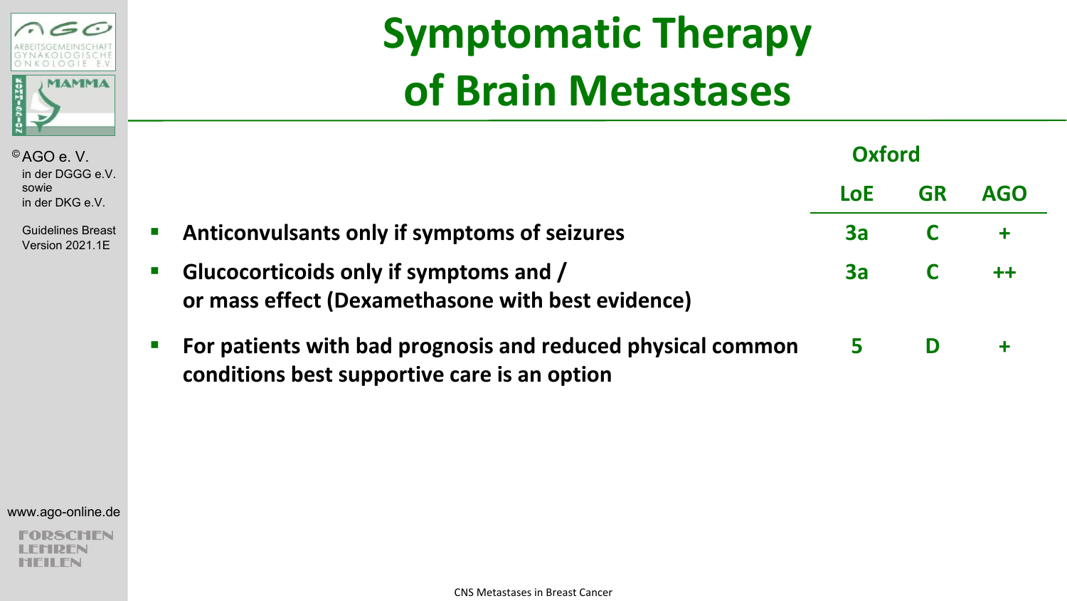

**Guidelines Brea** Version 2021.1E

# **Symptomatic Therapy of Brain Metastases**

| V.       |                                                                                                                                            | Oxford     |           |            |  |
|----------|--------------------------------------------------------------------------------------------------------------------------------------------|------------|-----------|------------|--|
|          |                                                                                                                                            | <b>LoE</b> | <b>GR</b> | <b>AGO</b> |  |
| ıst<br>≣ | Anticonvulsants only if symptoms of seizures<br>$\blacksquare$                                                                             | 3a         | C         |            |  |
|          | Glucocorticoids only if symptoms and /<br>$\blacksquare$<br>or mass effect (Dexamethasone with best evidence)                              | 3a         |           |            |  |
|          | For patients with bad prognosis and reduced physical common<br>$\mathcal{L}_{\mathcal{A}}$<br>conditions best supportive care is an option | 5 - 1      | D         |            |  |

www.ago-online.de

**DSCHEN HDFN HEILEN**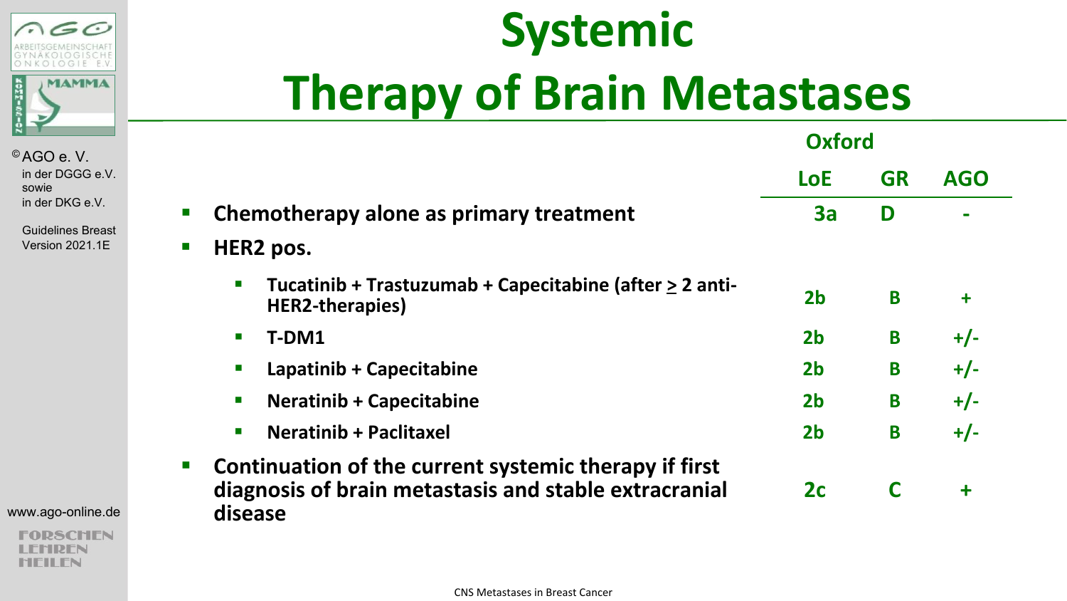

Guidelines Breast Version 2021.1E

#### www.ago-online.de

**PSCHEN** HDFN **HEILEN** 

# **Systemic Therapy of Brain Metastases**

|                                                                                                                                                          | <b>Oxford</b>  |           |            |
|----------------------------------------------------------------------------------------------------------------------------------------------------------|----------------|-----------|------------|
|                                                                                                                                                          | <b>LoE</b>     | <b>GR</b> | <b>AGO</b> |
| Chemotherapy alone as primary treatment<br>ш                                                                                                             | 3a             | D         |            |
| HER2 pos.<br><b>The Second</b>                                                                                                                           |                |           |            |
| Tucatinib + Trastuzumab + Capecitabine (after $\geq 2$ anti-<br><b>HER2-therapies</b> )                                                                  | 2 <sub>b</sub> | B         | ÷          |
| T-DM1<br>$\mathbf{r}$                                                                                                                                    | 2 <sub>b</sub> | B         | $+/-$      |
| Lapatinib + Capecitabine<br><b>D</b>                                                                                                                     | 2 <sub>b</sub> | B         | $+/-$      |
| <b>Neratinib + Capecitabine</b><br>$\mathcal{L}_{\mathcal{A}}$                                                                                           | 2 <sub>b</sub> | B         | $+/-$      |
| <b>Neratinib + Paclitaxel</b><br>$\blacksquare$                                                                                                          | 2 <sub>b</sub> | B         | $+/-$      |
| Continuation of the current systemic therapy if first<br>$\mathcal{L}_{\mathcal{A}}$<br>diagnosis of brain metastasis and stable extracranial<br>disease | 2c             | C         | $\ddagger$ |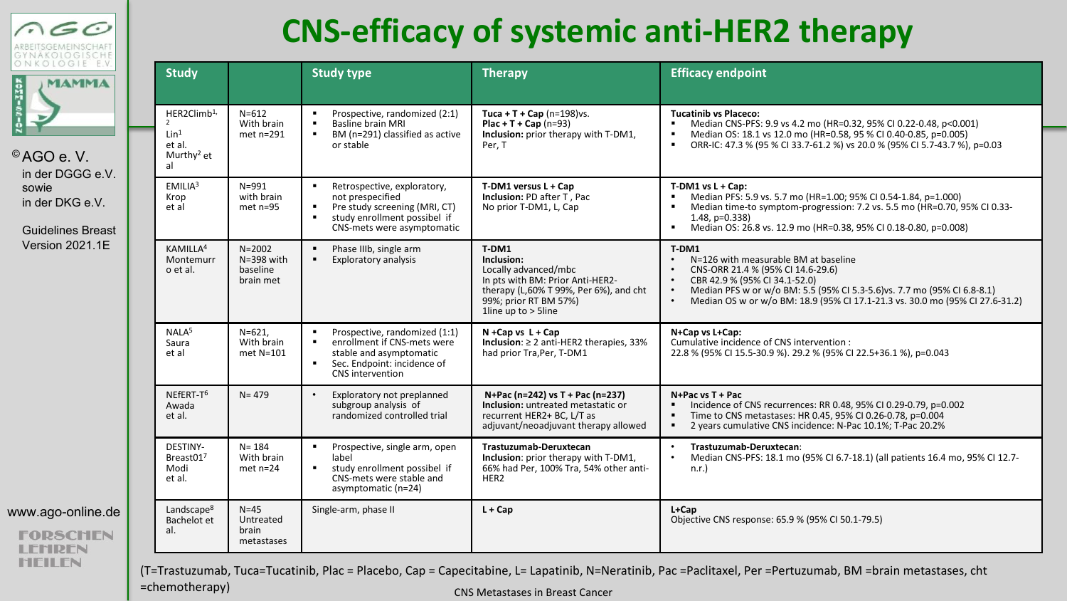

Guidelines Breast Version 2021.1E

| www.ago-online.de |  |
|-------------------|--|

**FORSCHEN IREN NEILEN** 

=chemotherapy)

### **CNS-efficacy of systemic anti-HER2 therapy**

| <b>Study</b>                                                                          |                                                       | <b>Study type</b>                                                                                                                                             | <b>Therapy</b>                                                                                                                                                               | <b>Efficacy endpoint</b>                                                                                                                                                                                                                                                        |
|---------------------------------------------------------------------------------------|-------------------------------------------------------|---------------------------------------------------------------------------------------------------------------------------------------------------------------|------------------------------------------------------------------------------------------------------------------------------------------------------------------------------|---------------------------------------------------------------------------------------------------------------------------------------------------------------------------------------------------------------------------------------------------------------------------------|
| HER2Climb <sup>1,</sup><br>Lin <sup>1</sup><br>et al.<br>Murthy <sup>2</sup> et<br>al | $N = 612$<br>With brain<br>$met$ n=291                | Prospective, randomized (2:1)<br>٠<br>٠<br>Basline brain MRI<br>BM (n=291) classified as active<br>л.<br>or stable                                            | Tuca + T + Cap $(n=198)$ vs.<br>$Plac + T + Cap (n=93)$<br>Inclusion: prior therapy with T-DM1,<br>Per. T                                                                    | <b>Tucatinib vs Placeco:</b><br>Median CNS-PFS: 9.9 vs 4.2 mo (HR=0.32, 95% CI 0.22-0.48, p<0.001)<br>Median OS: 18.1 vs 12.0 mo (HR=0.58, 95 % CI 0.40-0.85, p=0.005)<br>ORR-IC: 47.3 % (95 % CI 33.7-61.2 %) vs 20.0 % (95% CI 5.7-43.7 %), p=0.03<br>٠                       |
| EMILIA <sup>3</sup><br>Krop<br>et al                                                  | $N = 991$<br>with brain<br>$met$ n=95                 | Retrospective, exploratory,<br>٠<br>not prespecified<br>Pre study screening (MRI, CT)<br>٠<br>study enrollment possibel if<br>٠<br>CNS-mets were asymptomatic | T-DM1 versus L + Cap<br>Inclusion: PD after T, Pac<br>No prior T-DM1, L, Cap                                                                                                 | $T-DM1$ vs $L + Cap$ :<br>Median PFS: 5.9 vs. 5.7 mo (HR=1.00; 95% CI 0.54-1.84, p=1.000)<br>Median time-to symptom-progression: 7.2 vs. 5.5 mo (HR=0.70, 95% CI 0.33-<br>$1.48. p=0.338$<br>Median OS: 26.8 vs. 12.9 mo (HR=0.38, 95% CI 0.18-0.80, p=0.008)<br>٠              |
| KAMILLA <sup>4</sup><br>Montemurr<br>o et al.                                         | $N = 2002$<br>$N = 398$ with<br>baseline<br>brain met | $\blacksquare$<br>Phase IIIb, single arm<br>Exploratory analysis<br>٠                                                                                         | T-DM1<br>Inclusion:<br>Locally advanced/mbc<br>In pts with BM: Prior Anti-HER2-<br>therapy (L,60% T 99%, Per 6%), and cht<br>99%; prior RT BM 57%)<br>1line up to $> 5$ line | T-DM1<br>N=126 with measurable BM at baseline<br>CNS-ORR 21.4 % (95% CI 14.6-29.6)<br>CBR 42.9 % (95% CI 34.1-52.0)<br>Median PFS w or w/o BM: 5.5 (95% CI 5.3-5.6) vs. 7.7 mo (95% CI 6.8-8.1)<br>Median OS w or w/o BM: 18.9 (95% CI 17.1-21.3 vs. 30.0 mo (95% CI 27.6-31.2) |
| NALA <sup>5</sup><br>Saura<br>et al                                                   | $N = 621.$<br>With brain<br>met N=101                 | ٠<br>Prospective, randomized (1:1)<br>enrollment if CNS-mets were<br>٠<br>stable and asymptomatic<br>٠<br>Sec. Endpoint: incidence of<br>CNS intervention     | $N + Cap$ vs $L + Cap$<br>Inclusion: $\geq 2$ anti-HER2 therapies, 33%<br>had prior Tra, Per, T-DM1                                                                          | N+Cap vs L+Cap:<br>Cumulative incidence of CNS intervention :<br>22.8 % (95% CI 15.5-30.9 %). 29.2 % (95% CI 22.5+36.1 %), p=0.043                                                                                                                                              |
| NEFERT-T <sup>6</sup><br>Awada<br>et al.                                              | $N = 479$                                             | Exploratory not preplanned<br>$\bullet$<br>subgroup analysis of<br>randomized controlled trial                                                                | N+Pac (n=242) vs T + Pac (n=237)<br>Inclusion: untreated metastatic or<br>recurrent HER2+ BC, L/T as<br>adjuvant/neoadjuvant therapy allowed                                 | N+Pac vs T + Pac<br>Incidence of CNS recurrences: RR 0.48, 95% CI 0.29-0.79, p=0.002<br>Time to CNS metastases: HR 0.45, 95% CI 0.26-0.78, p=0.004<br>٠<br>2 years cumulative CNS incidence: N-Pac 10.1%; T-Pac 20.2%                                                           |
| <b>DESTINY-</b><br>Breast017<br>Modi<br>et al.                                        | $N = 184$<br>With brain<br>$met$ $n=24$               | ٠<br>Prospective, single arm, open<br>label<br>study enrollment possibel if<br>٠<br>CNS-mets were stable and<br>asymptomatic (n=24)                           | Trastuzumab-Deruxtecan<br>Inclusion: prior therapy with T-DM1,<br>66% had Per, 100% Tra, 54% other anti-<br>HER <sub>2</sub>                                                 | Trastuzumab-Deruxtecan:<br>Median CNS-PFS: 18.1 mo (95% CI 6.7-18.1) (all patients 16.4 mo, 95% CI 12.7-<br>n.r.                                                                                                                                                                |
| Landscape <sup>8</sup><br>Bachelot et<br>al.                                          | $N=45$<br>Untreated<br>brain<br>metastases            | Single-arm, phase II                                                                                                                                          | $L + Cap$                                                                                                                                                                    | $L + Cap$<br>Objective CNS response: 65.9 % (95% CI 50.1-79.5)                                                                                                                                                                                                                  |

CNS Metastases in Breast Cancer

(T=Trastuzumab, Tuca=Tucatinib, Plac = Placebo, Cap = Capecitabine, L= Lapatinib, N=Neratinib, Pac =Paclitaxel, Per =Pertuzumab, BM =brain metastases, cht